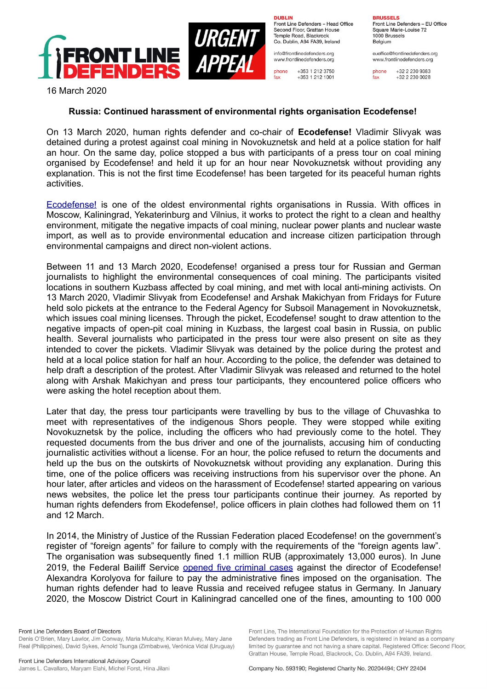

**DURLIN** Front Line Defenders - Head Office Second Floor, Grattan House Temple Boad, Blackrock Co. Dublin, A94 FA39, Ireland

info@frontlinedefenders.org www.frontlinedefenders.org

+353 1 212 3750 phone fax +353 1 212 1001

**BDHCCELC** Front Line Defenders - EU Office Square Marie-Louise 72 1000 Brussels

Belgium euoffice@frontlinedefenders.org www.frontlinedefenders.org

phone +32 2 230 9383 fax +32 2 230 0028

16 March 2020

## **Russia: Continued harassment of environmental rights organisation Ecodefense!**

On 13 March 2020, human rights defender and co-chair of **Ecodefense!** Vladimir Slivyak was detained during a protest against coal mining in Novokuznetsk and held at a police station for half an hour. On the same day, police stopped a bus with participants of a press tour on coal mining organised by Ecodefense! and held it up for an hour near Novokuznetsk without providing any explanation. This is not the first time Ecodefense! has been targeted for its peaceful human rights activities.

 [Ecodefense!](https://www.frontlinedefenders.org/en/organization/ecodefense) is one of the oldest environmental rights organisations in Russia. With offices in Moscow, Kaliningrad, Yekaterinburg and Vilnius, it works to protect the right to a clean and healthy environment, mitigate the negative impacts of coal mining, nuclear power plants and nuclear waste import, as well as to provide environmental education and increase citizen participation through environmental campaigns and direct non-violent actions.

Between 11 and 13 March 2020, Ecodefense! organised a press tour for Russian and German journalists to highlight the environmental consequences of coal mining. The participants visited locations in southern Kuzbass affected by coal mining, and met with local anti-mining activists. On 13 March 2020, Vladimir Slivyak from Ecodefense! and Arshak Makichyan from Fridays for Future held solo pickets at the entrance to the Federal Agency for Subsoil Management in Novokuznetsk, which issues coal mining licenses. Through the picket, Ecodefense! sought to draw attention to the negative impacts of open-pit coal mining in Kuzbass, the largest coal basin in Russia, on public health. Several journalists who participated in the press tour were also present on site as they intended to cover the pickets. Vladimir Slivyak was detained by the police during the protest and held at a local police station for half an hour. According to the police, the defender was detained to help draft a description of the protest. After Vladimir Slivyak was released and returned to the hotel along with Arshak Makichyan and press tour participants, they encountered police officers who were asking the hotel reception about them.

Later that day, the press tour participants were travelling by bus to the village of Chuvashka to meet with representatives of the indigenous Shors people. They were stopped while exiting Novokuznetsk by the police, including the officers who had previously come to the hotel. They requested documents from the bus driver and one of the journalists, accusing him of conducting journalistic activities without a license. For an hour, the police refused to return the documents and held up the bus on the outskirts of Novokuznetsk without providing any explanation. During this time, one of the police officers was receiving instructions from his supervisor over the phone. An hour later, after articles and videos on the harassment of Ecodefense! started appearing on various news websites, the police let the press tour participants continue their journey. As reported by human rights defenders from Ekodefense!, police officers in plain clothes had followed them on 11 and 12 March.

In 2014, the Ministry of Justice of the Russian Federation placed Ecodefense! on the government's register of "foreign agents" for failure to comply with the requirements of the "foreign agents law". The organisation was subsequently fined 1.1 million RUB (approximately 13,000 euros). In June 2019, the Federal Bailiff Service [opened](https://www.frontlinedefenders.org/en/case/five-criminal-cases-opened-against-director-ecodefense-aleksandra-korolyova) five criminal cases against the director of Ecodefense! Alexandra Korolyova for failure to pay the administrative fines imposed on the organisation. The human rights defender had to leave Russia and received refugee status in Germany. In January 2020, the Moscow District Court in Kaliningrad cancelled one of the fines, amounting to 100 000

Front Line, The International Foundation for the Protection of Human Rights

Defenders trading as Front Line Defenders, is registered in Ireland as a company limited by quarantee and not having a share capital. Registered Office: Second Floor.